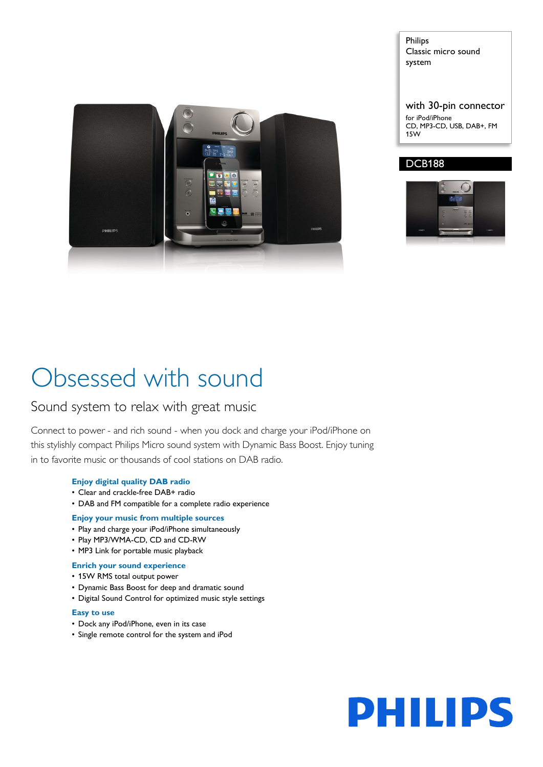

Philips Classic micro sound system

with 30-pin connector for iPod/iPhone CD, MP3-CD, USB, DAB+, FM 15W

# DCB188



# Obsessed with sound

# Sound system to relax with great music

Connect to power - and rich sound - when you dock and charge your iPod/iPhone on this stylishly compact Philips Micro sound system with Dynamic Bass Boost. Enjoy tuning in to favorite music or thousands of cool stations on DAB radio.

# **Enjoy digital quality DAB radio**

- Clear and crackle-free DAB+ radio
- DAB and FM compatible for a complete radio experience

# **Enjoy your music from multiple sources**

- Play and charge your iPod/iPhone simultaneously
- Play MP3/WMA-CD, CD and CD-RW
- MP3 Link for portable music playback

# **Enrich your sound experience**

- 15W RMS total output power
- Dynamic Bass Boost for deep and dramatic sound
- Digital Sound Control for optimized music style settings

# **Easy to use**

- Dock any iPod/iPhone, even in its case
- Single remote control for the system and iPod